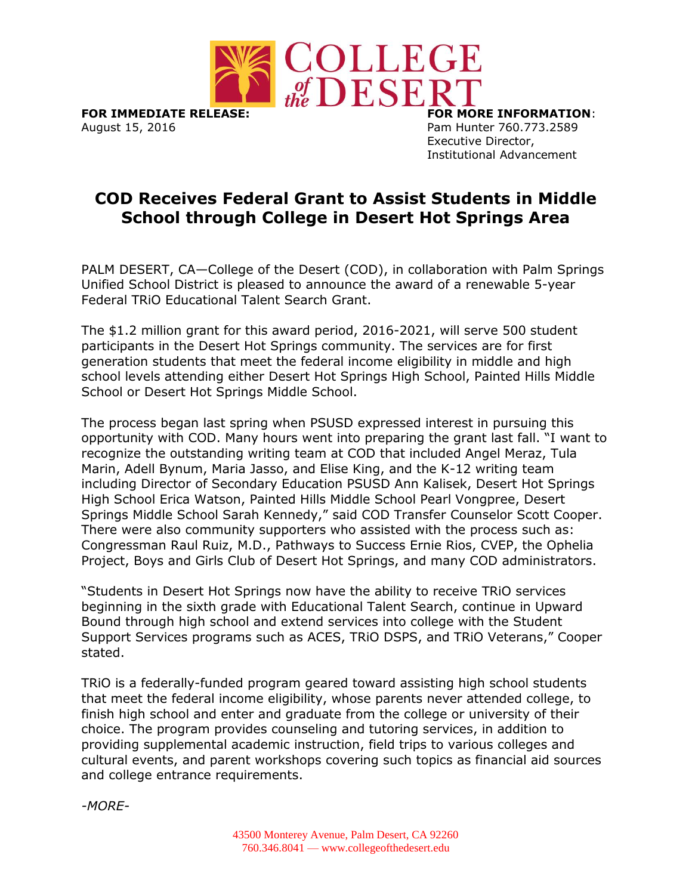

**FOR IMMEDIATE RELEASE: FOR MORE INFORMATION**: August 15, 2016 **Pam Hunter 760.773.2589** 

Executive Director, Institutional Advancement

## **COD Receives Federal Grant to Assist Students in Middle School through College in Desert Hot Springs Area**

PALM DESERT, CA—College of the Desert (COD), in collaboration with Palm Springs Unified School District is pleased to announce the award of a renewable 5-year Federal TRiO Educational Talent Search Grant.

The \$1.2 million grant for this award period, 2016-2021, will serve 500 student participants in the Desert Hot Springs community. The services are for first generation students that meet the federal income eligibility in middle and high school levels attending either Desert Hot Springs High School, Painted Hills Middle School or Desert Hot Springs Middle School.

The process began last spring when PSUSD expressed interest in pursuing this opportunity with COD. Many hours went into preparing the grant last fall. "I want to recognize the outstanding writing team at COD that included Angel Meraz, Tula Marin, Adell Bynum, Maria Jasso, and Elise King, and the K-12 writing team including Director of Secondary Education PSUSD Ann Kalisek, Desert Hot Springs High School Erica Watson, Painted Hills Middle School Pearl Vongpree, Desert Springs Middle School Sarah Kennedy," said COD Transfer Counselor Scott Cooper. There were also community supporters who assisted with the process such as: Congressman Raul Ruiz, M.D., Pathways to Success Ernie Rios, CVEP, the Ophelia Project, Boys and Girls Club of Desert Hot Springs, and many COD administrators.

"Students in Desert Hot Springs now have the ability to receive TRiO services beginning in the sixth grade with Educational Talent Search, continue in Upward Bound through high school and extend services into college with the Student Support Services programs such as ACES, TRiO DSPS, and TRiO Veterans," Cooper stated.

TRiO is a federally-funded program geared toward assisting high school students that meet the federal income eligibility, whose parents never attended college, to finish high school and enter and graduate from the college or university of their choice. The program provides counseling and tutoring services, in addition to providing supplemental academic instruction, field trips to various colleges and cultural events, and parent workshops covering such topics as financial aid sources and college entrance requirements.

*-MORE-*